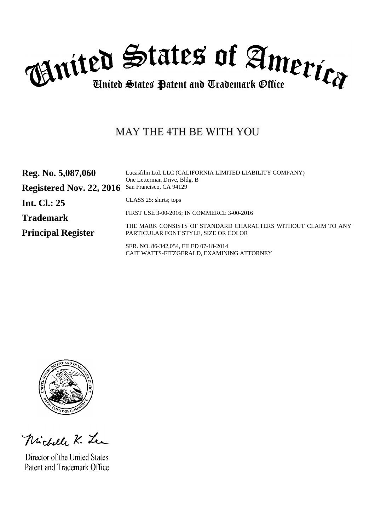

# MAY THE 4TH BE WITH YOU

| Reg. No. 5,087,060        | Lucasfilm Ltd. LLC (CALIFORNIA LIMITED LIABILITY COMPANY)<br>One Letterman Drive, Bldg. B             |
|---------------------------|-------------------------------------------------------------------------------------------------------|
| Registered Nov. 22, 2016  | San Francisco, CA 94129                                                                               |
| <b>Int. Cl.: 25</b>       | CLASS 25: shirts; tops                                                                                |
| <b>Trademark</b>          | FIRST USE 3-00-2016; IN COMMERCE 3-00-2016                                                            |
| <b>Principal Register</b> | THE MARK CONSISTS OF STANDARD CHARACTERS WITHOUT CLAIM TO ANY<br>PARTICULAR FONT STYLE, SIZE OR COLOR |
|                           | SER. NO. 86-342,054, FILED 07-18-2014<br>CAIT WATTS-FITZGERALD, EXAMINING ATTORNEY                    |



Michelle K. Lea

Director of the United States Patent and Trademark Office